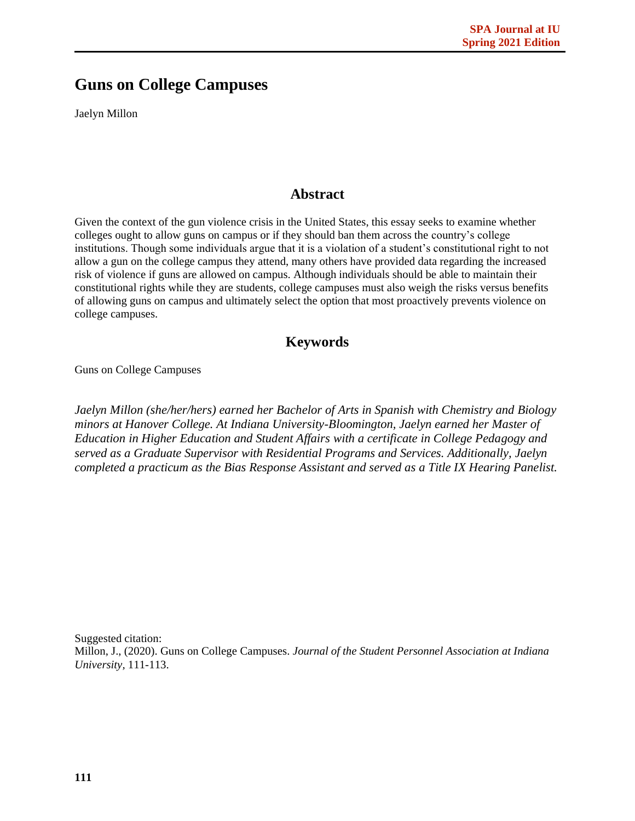## **Guns on College Campuses**

Jaelyn Millon

## **Abstract**

Given the context of the gun violence crisis in the United States, this essay seeks to examine whether colleges ought to allow guns on campus or if they should ban them across the country's college institutions. Though some individuals argue that it is a violation of a student's constitutional right to not allow a gun on the college campus they attend, many others have provided data regarding the increased risk of violence if guns are allowed on campus. Although individuals should be able to maintain their constitutional rights while they are students, college campuses must also weigh the risks versus benefits of allowing guns on campus and ultimately select the option that most proactively prevents violence on college campuses.

## **Keywords**

Guns on College Campuses

*Jaelyn Millon (she/her/hers) earned her Bachelor of Arts in Spanish with Chemistry and Biology minors at Hanover College. At Indiana University-Bloomington, Jaelyn earned her Master of Education in Higher Education and Student Affairs with a certificate in College Pedagogy and served as a Graduate Supervisor with Residential Programs and Services. Additionally, Jaelyn completed a practicum as the Bias Response Assistant and served as a Title IX Hearing Panelist.* 

Suggested citation: Millon, J., (2020). Guns on College Campuses. *Journal of the Student Personnel Association at Indiana University,* 111-113.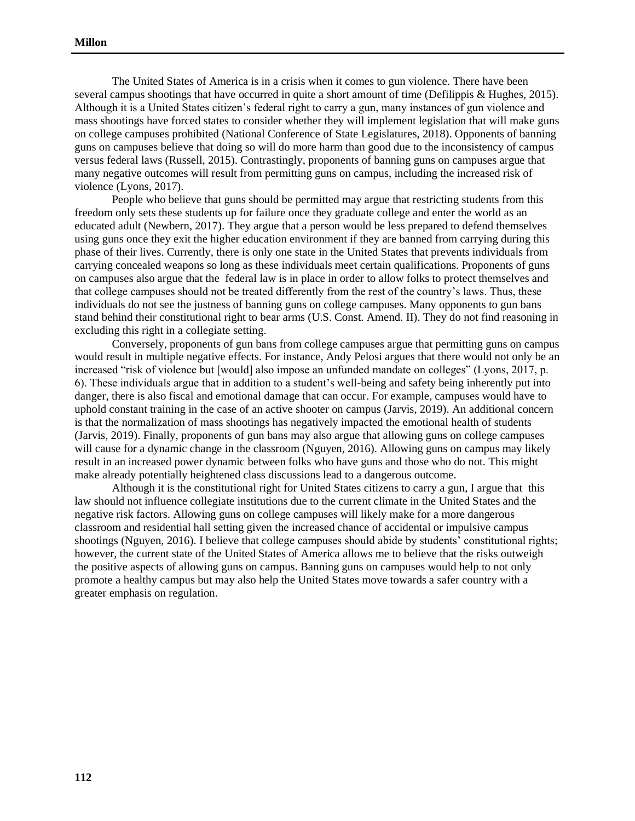The United States of America is in a crisis when it comes to gun violence. There have been several campus shootings that have occurred in quite a short amount of time (Defilippis & Hughes, 2015). Although it is a United States citizen's federal right to carry a gun, many instances of gun violence and mass shootings have forced states to consider whether they will implement legislation that will make guns on college campuses prohibited (National Conference of State Legislatures, 2018). Opponents of banning guns on campuses believe that doing so will do more harm than good due to the inconsistency of campus versus federal laws (Russell, 2015). Contrastingly, proponents of banning guns on campuses argue that many negative outcomes will result from permitting guns on campus, including the increased risk of violence (Lyons, 2017).

People who believe that guns should be permitted may argue that restricting students from this freedom only sets these students up for failure once they graduate college and enter the world as an educated adult (Newbern, 2017). They argue that a person would be less prepared to defend themselves using guns once they exit the higher education environment if they are banned from carrying during this phase of their lives. Currently, there is only one state in the United States that prevents individuals from carrying concealed weapons so long as these individuals meet certain qualifications. Proponents of guns on campuses also argue that the federal law is in place in order to allow folks to protect themselves and that college campuses should not be treated differently from the rest of the country's laws. Thus, these individuals do not see the justness of banning guns on college campuses. Many opponents to gun bans stand behind their constitutional right to bear arms (U.S. Const. Amend. II). They do not find reasoning in excluding this right in a collegiate setting.

Conversely, proponents of gun bans from college campuses argue that permitting guns on campus would result in multiple negative effects. For instance, Andy Pelosi argues that there would not only be an increased "risk of violence but [would] also impose an unfunded mandate on colleges" (Lyons, 2017, p. 6). These individuals argue that in addition to a student's well-being and safety being inherently put into danger, there is also fiscal and emotional damage that can occur. For example, campuses would have to uphold constant training in the case of an active shooter on campus (Jarvis, 2019). An additional concern is that the normalization of mass shootings has negatively impacted the emotional health of students (Jarvis, 2019). Finally, proponents of gun bans may also argue that allowing guns on college campuses will cause for a dynamic change in the classroom (Nguyen, 2016). Allowing guns on campus may likely result in an increased power dynamic between folks who have guns and those who do not. This might make already potentially heightened class discussions lead to a dangerous outcome.

Although it is the constitutional right for United States citizens to carry a gun, I argue that this law should not influence collegiate institutions due to the current climate in the United States and the negative risk factors. Allowing guns on college campuses will likely make for a more dangerous classroom and residential hall setting given the increased chance of accidental or impulsive campus shootings (Nguyen, 2016). I believe that college campuses should abide by students' constitutional rights; however, the current state of the United States of America allows me to believe that the risks outweigh the positive aspects of allowing guns on campus. Banning guns on campuses would help to not only promote a healthy campus but may also help the United States move towards a safer country with a greater emphasis on regulation.